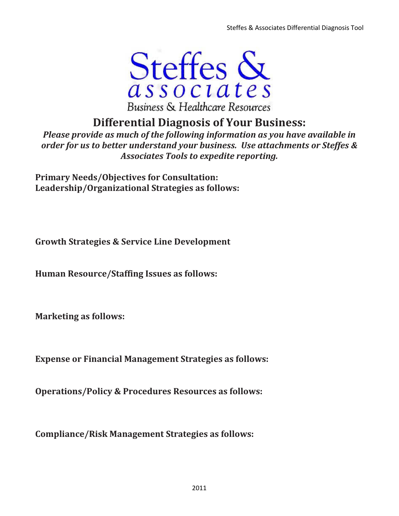

# Differential Diagnosis of Your Business:

Please provide as much of the following information as you have available in order for us to better understand your business. Use attachments or Steffes & Associates Tools to expedite reporting.

Primary Needs/Objectives for Consultation: Leadership/Organizational Strategies as follows:

Growth Strategies & Service Line Development

Human Resource/Staffing Issues as follows:

Marketing as follows:

Expense or Financial Management Strategies as follows:

Operations/Policy & Procedures Resources as follows:

Compliance/Risk Management Strategies as follows: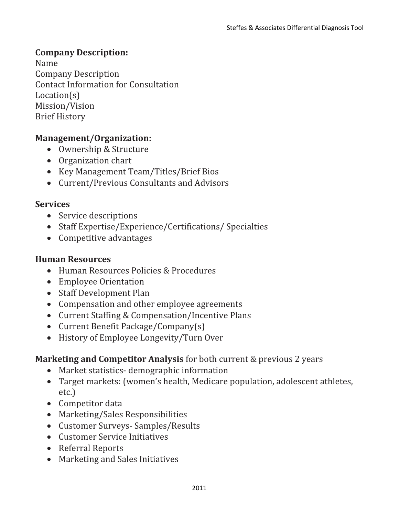### Company Description:

Name Company Description Contact Information for Consultation Location(s) Mission/Vision Brief History

### Management/Organization:

- Ownership & Structure
- Organization chart
- Key Management Team/Titles/Brief Bios
- Current/Previous Consultants and Advisors

#### Services

- Service descriptions
- Staff Expertise/Experience/Certifications/ Specialties
- Competitive advantages

#### Human Resources

- Human Resources Policies & Procedures
- Employee Orientation
- Staff Development Plan
- Compensation and other employee agreements
- Current Staffing & Compensation/Incentive Plans
- Current Benefit Package/Company(s)
- History of Employee Longevity/Turn Over

### Marketing and Competitor Analysis for both current & previous 2 years

- Market statistics- demographic information
- Target markets: (women's health, Medicare population, adolescent athletes, etc.)
- Competitor data
- Marketing/Sales Responsibilities
- Customer Surveys- Samples/Results
- Customer Service Initiatives
- Referral Reports
- Marketing and Sales Initiatives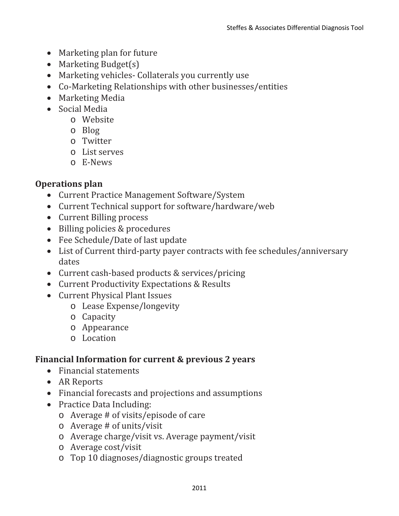- Marketing plan for future
- Marketing Budget(s)
- Marketing vehicles- Collaterals you currently use
- Co-Marketing Relationships with other businesses/entities
- Marketing Media
- Social Media
	- o Website
	- o Blog
	- o Twitter
	- o List serves
	- o E-News

## Operations plan

- Current Practice Management Software/System
- Current Technical support for software/hardware/web
- Current Billing process
- Billing policies & procedures
- Fee Schedule/Date of last update
- List of Current third-party payer contracts with fee schedules/anniversary dates
- Current cash-based products & services/pricing
- Current Productivity Expectations & Results
- Current Physical Plant Issues
	- o Lease Expense/longevity
	- o Capacity
	- o Appearance
	- o Location

## Financial Information for current & previous 2 years

- Financial statements
- AR Reports
- Financial forecasts and projections and assumptions
- Practice Data Including:
	- o Average # of visits/episode of care
	- o Average # of units/visit
	- o Average charge/visit vs. Average payment/visit
	- o Average cost/visit
	- o Top 10 diagnoses/diagnostic groups treated